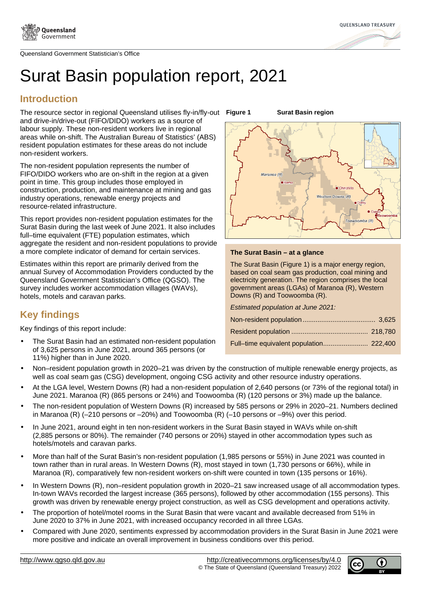



## Surat Basin population report, 2021

## **Introduction**

The resource sector in regional Queensland utilises fly-in/fly-out Figure 1 and drive-in/drive-out (FIFO/DIDO) workers as a source of labour supply. These non-resident workers live in regional areas while on-shift. The Australian Bureau of Statistics' (ABS) resident population estimates for these areas do not include non-resident workers.

The non-resident population represents the number of FIFO/DIDO workers who are on-shift in the region at a given point in time. This group includes those employed in construction, production, and maintenance at mining and gas industry operations, renewable energy projects and resource-related infrastructure.

This report provides non-resident population estimates for the Surat Basin during the last week of June 2021. It also includes full–time equivalent (FTE) population estimates, which aggregate the resident and non-resident populations to provide a more complete indicator of demand for certain services.

Estimates within this report are primarily derived from the annual Survey of Accommodation Providers conducted by the Queensland Government Statistician's Office (QGSO). The survey includes worker accommodation villages (WAVs), hotels, motels and caravan parks.

## **Key findings**

Key findings of this report include:

• The Surat Basin had an estimated non-resident population of 3,625 persons in June 2021, around 365 persons (or 11%) higher than in June 2020.

**Surat Basin region** 



#### **The Surat Basin – at a glance**

The Surat Basin (Figure 1) is a major energy region, based on coal seam gas production, coal mining and electricity generation. The region comprises the local government areas (LGAs) of Maranoa (R), Western Downs (R) and Toowoomba (R).

| Estimated population at June 2021: |  |
|------------------------------------|--|
|                                    |  |
|                                    |  |
|                                    |  |
|                                    |  |

- Non–resident population growth in 2020–21 was driven by the construction of multiple renewable energy projects, as well as coal seam gas (CSG) development, ongoing CSG activity and other resource industry operations.
- At the LGA level, Western Downs (R) had a non-resident population of 2,640 persons (or 73% of the regional total) in June 2021. Maranoa (R) (865 persons or 24%) and Toowoomba (R) (120 persons or 3%) made up the balance.
- The non-resident population of Western Downs (R) increased by 585 persons or 29% in 2020–21. Numbers declined in Maranoa (R) (–210 persons or –20%) and Toowoomba (R) (–10 persons or –9%) over this period.
- In June 2021, around eight in ten non-resident workers in the Surat Basin stayed in WAVs while on-shift (2,885 persons or 80%). The remainder (740 persons or 20%) stayed in other accommodation types such as hotels/motels and caravan parks.
- More than half of the Surat Basin's non-resident population (1,985 persons or 55%) in June 2021 was counted in town rather than in rural areas. In Western Downs (R), most stayed in town (1,730 persons or 66%), while in Maranoa (R), comparatively few non-resident workers on-shift were counted in town (135 persons or 16%).
- In Western Downs (R), non-resident population growth in 2020–21 saw increased usage of all accommodation types. In-town WAVs recorded the largest increase (365 persons), followed by other accommodation (155 persons). This growth was driven by renewable energy project construction, as well as CSG development and operations activity.
- The proportion of hotel/motel rooms in the Surat Basin that were vacant and available decreased from 51% in June 2020 to 37% in June 2021, with increased occupancy recorded in all three LGAs.
- Compared with June 2020, sentiments expressed by accommodation providers in the Surat Basin in June 2021 were more positive and indicate an overall improvement in business conditions over this period.

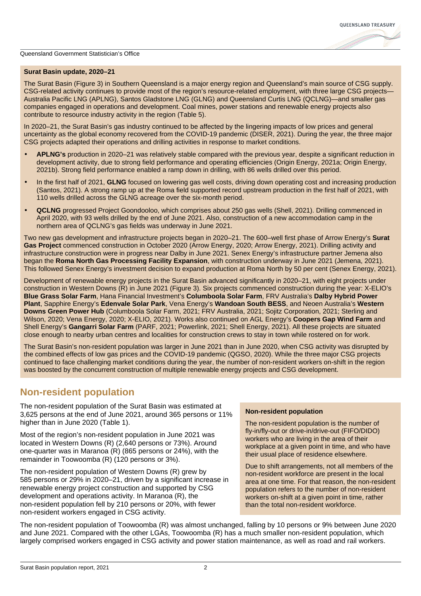#### **Surat Basin update, 2020–21**

The Surat Basin (Figure 3) in Southern Queensland is a major energy region and Queensland's main source of CSG supply. CSG-related activity continues to provide most of the region's resource-related employment, with three large CSG projects— Australia Pacific LNG (APLNG), Santos Gladstone LNG (GLNG) and Queensland Curtis LNG (QCLNG)—and smaller gas companies engaged in operations and development. Coal mines, power stations and renewable energy projects also contribute to resource industry activity in the region (Table 5).

In 2020–21, the Surat Basin's gas industry continued to be affected by the lingering impacts of low prices and general uncertainty as the global economy recovered from the COVID-19 pandemic (DISER, 2021). During the year, the three major CSG projects adapted their operations and drilling activities in response to market conditions.

- **APLNG's** production in 2020–21 was relatively stable compared with the previous year, despite a significant reduction in development activity, due to strong field performance and operating efficiencies (Origin Energy, 2021a; Origin Energy, 2021b). Strong field performance enabled a ramp down in drilling, with 86 wells drilled over this period.
- In the first half of 2021, **GLNG** focused on lowering gas well costs, driving down operating cost and increasing production (Santos, 2021). A strong ramp up at the Roma field supported record upstream production in the first half of 2021, with 110 wells drilled across the GLNG acreage over the six-month period.
- **QCLNG** progressed Project Goondooloo, which comprises about 250 gas wells (Shell, 2021). Drilling commenced in April 2020, with 93 wells drilled by the end of June 2021. Also, construction of a new accommodation camp in the northern area of QCLNG's gas fields was underway in June 2021.

Two new gas development and infrastructure projects began in 2020–21. The 600–well first phase of Arrow Energy's **Surat Gas Project** commenced construction in October 2020 (Arrow Energy, 2020; Arrow Energy, 2021). Drilling activity and infrastructure construction were in progress near Dalby in June 2021. Senex Energy's infrastructure partner Jemena also began the **Roma North Gas Processing Facility Expansion**, with construction underway in June 2021 (Jemena, 2021). This followed Senex Energy's investment decision to expand production at Roma North by 50 per cent (Senex Energy, 2021).

Development of renewable energy projects in the Surat Basin advanced significantly in 2020–21, with eight projects under construction in Western Downs (R) in June 2021 (Figure 3). Six projects commenced construction during the year: X-ELIO's **Blue Grass Solar Farm**, Hana Financial Investment's **Columboola Solar Farm**, FRV Australia's **Dalby Hybrid Power Plant**, Sapphire Energy's **Edenvale Solar Park**, Vena Energy's **Wandoan South BESS**, and Neoen Australia's **Western Downs Green Power Hub** (Columboola Solar Farm, 2021; FRV Australia, 2021; Sojitz Corporation, 2021; Sterling and Wilson, 2020; Vena Energy, 2020; X-ELIO, 2021). Works also continued on AGL Energy's **Coopers Gap Wind Farm** and Shell Energy's **Gangarri Solar Farm** (PARF, 2021; Powerlink, 2021; Shell Energy, 2021). All these projects are situated close enough to nearby urban centres and localities for construction crews to stay in town while rostered on for work.

The Surat Basin's non-resident population was larger in June 2021 than in June 2020, when CSG activity was disrupted by the combined effects of low gas prices and the COVID-19 pandemic (QGSO, 2020). While the three major CSG projects continued to face challenging market conditions during the year, the number of non-resident workers on-shift in the region was boosted by the concurrent construction of multiple renewable energy projects and CSG development.

## **Non-resident population**

The non-resident population of the Surat Basin was estimated at 3,625 persons at the end of June 2021, around 365 persons or 11% higher than in June 2020 (Table 1).

Most of the region's non-resident population in June 2021 was located in Western Downs (R) (2,640 persons or 73%). Around one-quarter was in Maranoa (R) (865 persons or 24%), with the remainder in Toowoomba (R) (120 persons or 3%).

The non-resident population of Western Downs (R) grew by 585 persons or 29% in 2020–21, driven by a significant increase in renewable energy project construction and supported by CSG development and operations activity. In Maranoa (R), the non-resident population fell by 210 persons or 20%, with fewer non-resident workers engaged in CSG activity.

#### **Non-resident population**

The non-resident population is the number of fly-in/fly-out or drive-in/drive-out (FIFO/DIDO) workers who are living in the area of their workplace at a given point in time, and who have their usual place of residence elsewhere.

Due to shift arrangements, not all members of the non-resident workforce are present in the local area at one time. For that reason, the non-resident population refers to the number of non-resident workers on-shift at a given point in time, rather than the total non-resident workforce.

The non-resident population of Toowoomba (R) was almost unchanged, falling by 10 persons or 9% between June 2020 and June 2021. Compared with the other LGAs, Toowoomba (R) has a much smaller non-resident population, which largely comprised workers engaged in CSG activity and power station maintenance, as well as road and rail workers.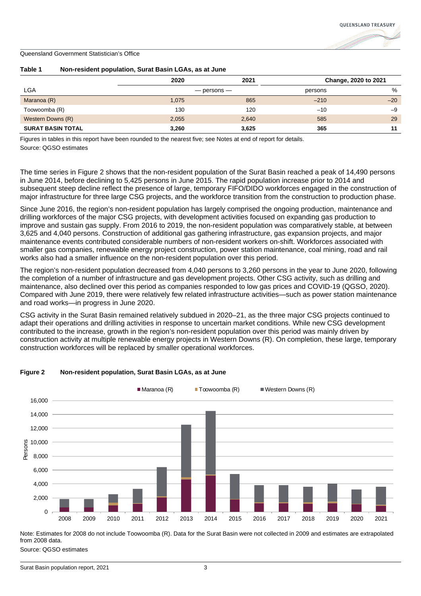

|                          | 2020  | 2021            |         | Change, 2020 to 2021 |
|--------------------------|-------|-----------------|---------|----------------------|
| <b>LGA</b>               |       | $-$ persons $-$ | persons | %                    |
| Maranoa (R)              | 1,075 | 865             | $-210$  | $-20$                |
| Toowoomba (R)            | 130   | 120             | $-10$   | $-9$                 |
| Western Downs (R)        | 2,055 | 2,640           | 585     | 29                   |
| <b>SURAT BASIN TOTAL</b> | 3,260 | 3,625           | 365     | 11                   |

#### **Table 1 Non-resident population, Surat Basin LGAs, as at June**

Figures in tables in this report have been rounded to the nearest five; see Notes at end of report for details. Source: QGSO estimates

The time series in Figure 2 shows that the non-resident population of the Surat Basin reached a peak of 14,490 persons in June 2014, before declining to 5,425 persons in June 2015. The rapid population increase prior to 2014 and subsequent steep decline reflect the presence of large, temporary FIFO/DIDO workforces engaged in the construction of major infrastructure for three large CSG projects, and the workforce transition from the construction to production phase.

Since June 2016, the region's non-resident population has largely comprised the ongoing production, maintenance and drilling workforces of the major CSG projects, with development activities focused on expanding gas production to improve and sustain gas supply. From 2016 to 2019, the non-resident population was comparatively stable, at between 3,625 and 4,040 persons. Construction of additional gas gathering infrastructure, gas expansion projects, and major maintenance events contributed considerable numbers of non-resident workers on-shift. Workforces associated with smaller gas companies, renewable energy project construction, power station maintenance, coal mining, road and rail works also had a smaller influence on the non-resident population over this period.

The region's non-resident population decreased from 4,040 persons to 3,260 persons in the year to June 2020, following the completion of a number of infrastructure and gas development projects. Other CSG activity, such as drilling and maintenance, also declined over this period as companies responded to low gas prices and COVID-19 (QGSO, 2020). Compared with June 2019, there were relatively few related infrastructure activities—such as power station maintenance and road works—in progress in June 2020.

CSG activity in the Surat Basin remained relatively subdued in 2020–21, as the three major CSG projects continued to adapt their operations and drilling activities in response to uncertain market conditions. While new CSG development contributed to the increase, growth in the region's non-resident population over this period was mainly driven by construction activity at multiple renewable energy projects in Western Downs (R). On completion, these large, temporary construction workforces will be replaced by smaller operational workforces.



#### **Figure 2 Non-resident population, Surat Basin LGAs, as at June**

Note: Estimates for 2008 do not include Toowoomba (R). Data for the Surat Basin were not collected in 2009 and estimates are extrapolated from 2008 data.

Source: QGSO estimates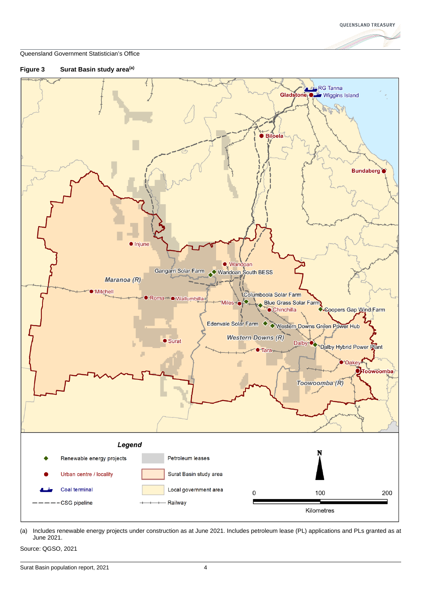





(a) Includes renewable energy projects under construction as at June 2021. Includes petroleum lease (PL) applications and PLs granted as at June 2021.

Source: QGSO, 2021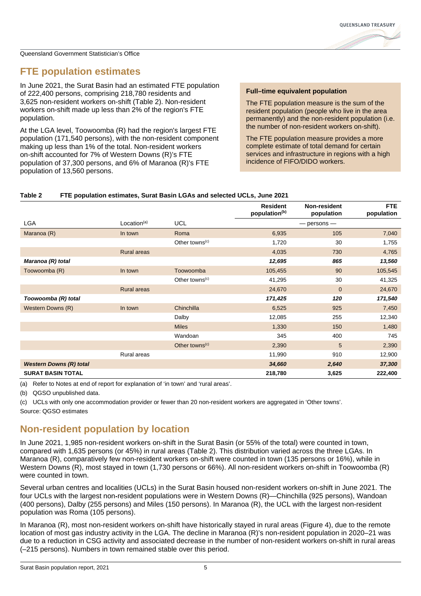

## **FTE population estimates**

In June 2021, the Surat Basin had an estimated FTE population of 222,400 persons, comprising 218,780 residents and 3,625 non-resident workers on-shift (Table 2). Non-resident workers on-shift made up less than 2% of the region's FTE population.

At the LGA level, Toowoomba (R) had the region's largest FTE population (171,540 persons), with the non-resident component making up less than 1% of the total. Non-resident workers on-shift accounted for 7% of Western Downs (R)'s FTE population of 37,300 persons, and 6% of Maranoa (R)'s FTE population of 13,560 persons.

#### **Full–time equivalent population**

The FTE population measure is the sum of the resident population (people who live in the area permanently) and the non-resident population (i.e. the number of non-resident workers on-shift).

The FTE population measure provides a more complete estimate of total demand for certain services and infrastructure in regions with a high incidence of FIFO/DIDO workers.

#### **Table 2 FTE population estimates, Surat Basin LGAs and selected UCLs, June 2021**

|                                |                         |                                         | <b>Resident</b><br>population <sup>(b)</sup> | Non-resident<br>population | FTE.<br>population |
|--------------------------------|-------------------------|-----------------------------------------|----------------------------------------------|----------------------------|--------------------|
| LGA                            | Location <sup>(a)</sup> | <b>UCL</b>                              |                                              | $-$ persons $-$            |                    |
| Maranoa (R)                    | In town                 | Roma                                    | 6,935                                        | 105                        | 7,040              |
|                                |                         | Other towns <sup><math>(c)</math></sup> | 1,720                                        | 30                         | 1,755              |
|                                | <b>Rural areas</b>      |                                         | 4,035                                        | 730                        | 4,765              |
| Maranoa (R) total              |                         |                                         | 12,695                                       | 865                        | 13,560             |
| Toowoomba (R)                  | In town                 | Toowoomba                               | 105,455                                      | 90                         | 105,545            |
|                                |                         | Other towns <sup><math>(c)</math></sup> | 41,295                                       | 30                         | 41,325             |
|                                | <b>Rural areas</b>      |                                         | 24,670                                       | $\mathbf{0}$               | 24,670             |
| Toowoomba (R) total            |                         |                                         | 171,425                                      | 120                        | 171,540            |
| Western Downs (R)              | In town                 | Chinchilla                              | 6,525                                        | 925                        | 7,450              |
|                                |                         | Dalby                                   | 12,085                                       | 255                        | 12,340             |
|                                |                         | <b>Miles</b>                            | 1,330                                        | 150                        | 1,480              |
|                                |                         | Wandoan                                 | 345                                          | 400                        | 745                |
|                                |                         | Other towns <sup>(c)</sup>              | 2,390                                        | 5                          | 2,390              |
|                                | Rural areas             |                                         | 11,990                                       | 910                        | 12,900             |
| <b>Western Downs (R) total</b> |                         |                                         | 34,660                                       | 2,640                      | 37,300             |
| <b>SURAT BASIN TOTAL</b>       |                         |                                         | 218,780                                      | 3,625                      | 222,400            |

(a) Refer to Notes at end of report for explanation of 'in town' and 'rural areas'.

(b) QGSO unpublished data.

(c) UCLs with only one accommodation provider or fewer than 20 non-resident workers are aggregated in 'Other towns'. Source: QGSO estimates

## **Non-resident population by location**

In June 2021, 1,985 non-resident workers on-shift in the Surat Basin (or 55% of the total) were counted in town, compared with 1,635 persons (or 45%) in rural areas (Table 2). This distribution varied across the three LGAs. In Maranoa (R), comparatively few non-resident workers on-shift were counted in town (135 persons or 16%), while in Western Downs (R), most stayed in town (1,730 persons or 66%). All non-resident workers on-shift in Toowoomba (R) were counted in town.

Several urban centres and localities (UCLs) in the Surat Basin housed non-resident workers on-shift in June 2021. The four UCLs with the largest non resident populations were in Western Downs (R)—Chinchilla (925 persons), Wandoan (400 persons), Dalby (255 persons) and Miles (150 persons). In Maranoa (R), the UCL with the largest non-resident population was Roma (105 persons).

In Maranoa (R), most non-resident workers on-shift have historically stayed in rural areas (Figure 4), due to the remote location of most gas industry activity in the LGA. The decline in Maranoa (R)'s non-resident population in 2020–21 was due to a reduction in CSG activity and associated decrease in the number of non-resident workers on-shift in rural areas (–215 persons). Numbers in town remained stable over this period.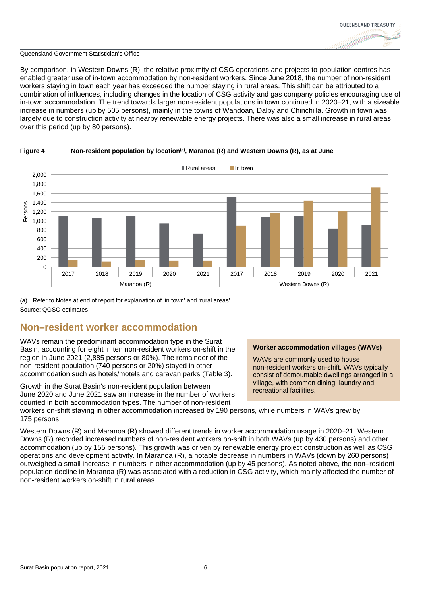

By comparison, in Western Downs (R), the relative proximity of CSG operations and projects to population centres has enabled greater use of in-town accommodation by non-resident workers. Since June 2018, the number of non-resident workers staying in town each year has exceeded the number staying in rural areas. This shift can be attributed to a combination of influences, including changes in the location of CSG activity and gas company policies encouraging use of in-town accommodation. The trend towards larger non-resident populations in town continued in 2020–21, with a sizeable increase in numbers (up by 505 persons), mainly in the towns of Wandoan, Dalby and Chinchilla. Growth in town was largely due to construction activity at nearby renewable energy projects. There was also a small increase in rural areas over this period (up by 80 persons).



#### **Figure 4 Non-resident population by location(a), Maranoa (R) and Western Downs (R), as at June**

(a) Refer to Notes at end of report for explanation of 'in town' and 'rural areas'. Source: QGSO estimates

### **Non–resident worker accommodation**

WAVs remain the predominant accommodation type in the Surat Basin, accounting for eight in ten non-resident workers on-shift in the region in June 2021 (2,885 persons or 80%). The remainder of the non-resident population (740 persons or 20%) stayed in other accommodation such as hotels/motels and caravan parks (Table 3).

Growth in the Surat Basin's non-resident population between June 2020 and June 2021 saw an increase in the number of workers counted in both accommodation types. The number of non-resident

#### **Worker accommodation villages (WAVs)**

WAVs are commonly used to house non-resident workers on-shift. WAVs typically consist of demountable dwellings arranged in a village, with common dining, laundry and recreational facilities.

workers on-shift staying in other accommodation increased by 190 persons, while numbers in WAVs grew by 175 persons.

Western Downs (R) and Maranoa (R) showed different trends in worker accommodation usage in 2020–21. Western Downs (R) recorded increased numbers of non-resident workers on-shift in both WAVs (up by 430 persons) and other accommodation (up by 155 persons). This growth was driven by renewable energy project construction as well as CSG operations and development activity. In Maranoa (R), a notable decrease in numbers in WAVs (down by 260 persons) outweighed a small increase in numbers in other accommodation (up by 45 persons). As noted above, the non–resident population decline in Maranoa (R) was associated with a reduction in CSG activity, which mainly affected the number of non-resident workers on-shift in rural areas.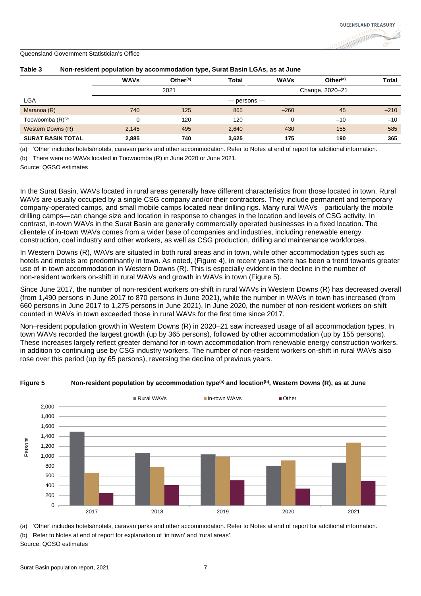| .                            |             |                      |              |                 |                      |        |
|------------------------------|-------------|----------------------|--------------|-----------------|----------------------|--------|
|                              | <b>WAVs</b> | Other <sup>(a)</sup> | <b>Total</b> | <b>WAVs</b>     | Other <sup>(a)</sup> | Total  |
|                              |             | 2021                 |              |                 | Change, 2020-21      |        |
| LGA                          |             |                      |              | $-$ persons $-$ |                      |        |
| Maranoa (R)                  | 740         | 125                  | 865          | $-260$          | 45                   | $-210$ |
| Toowoomba (R) <sup>(b)</sup> |             | 120                  | 120          | 0               | $-10$                | $-10$  |
| Western Downs (R)            | 2,145       | 495                  | 2,640        | 430             | 155                  | 585    |
| <b>SURAT BASIN TOTAL</b>     | 2,885       | 740                  | 3,625        | 175             | 190                  | 365    |

#### **Table 3 Non-resident population by accommodation type, Surat Basin LGAs, as at June**

(a) 'Other' includes hotels/motels, caravan parks and other accommodation. Refer to Notes at end of report for additional information.

(b) There were no WAVs located in Toowoomba (R) in June 2020 or June 2021.

Source: QGSO estimates

In the Surat Basin, WAVs located in rural areas generally have different characteristics from those located in town. Rural WAVs are usually occupied by a single CSG company and/or their contractors. They include permanent and temporary company-operated camps, and small mobile camps located near drilling rigs. Many rural WAVs—particularly the mobile drilling camps—can change size and location in response to changes in the location and levels of CSG activity. In contrast, in-town WAVs in the Surat Basin are generally commercially operated businesses in a fixed location. The clientele of in-town WAVs comes from a wider base of companies and industries, including renewable energy construction, coal industry and other workers, as well as CSG production, drilling and maintenance workforces.

In Western Downs (R), WAVs are situated in both rural areas and in town, while other accommodation types such as hotels and motels are predominantly in town. As noted, (Figure 4), in recent years there has been a trend towards greater use of in town accommodation in Western Downs (R). This is especially evident in the decline in the number of non-resident workers on-shift in rural WAVs and growth in WAVs in town (Figure 5).

Since June 2017, the number of non-resident workers on-shift in rural WAVs in Western Downs (R) has decreased overall (from 1,490 persons in June 2017 to 870 persons in June 2021), while the number in WAVs in town has increased (from 660 persons in June 2017 to 1,275 persons in June 2021). In June 2020, the number of non-resident workers on-shift counted in WAVs in town exceeded those in rural WAVs for the first time since 2017.

Non–resident population growth in Western Downs (R) in 2020–21 saw increased usage of all accommodation types. In town WAVs recorded the largest growth (up by 365 persons), followed by other accommodation (up by 155 persons). These increases largely reflect greater demand for in-town accommodation from renewable energy construction workers, in addition to continuing use by CSG industry workers. The number of non-resident workers on-shift in rural WAVs also rose over this period (up by 65 persons), reversing the decline of previous years.



#### **Figure 5 Non-resident population by accommodation type(a) and location(b), Western Downs (R), as at June**

(a) 'Other' includes hotels/motels, caravan parks and other accommodation. Refer to Notes at end of report for additional information. (b) Refer to Notes at end of report for explanation of 'in town' and 'rural areas'. Source: QGSO estimates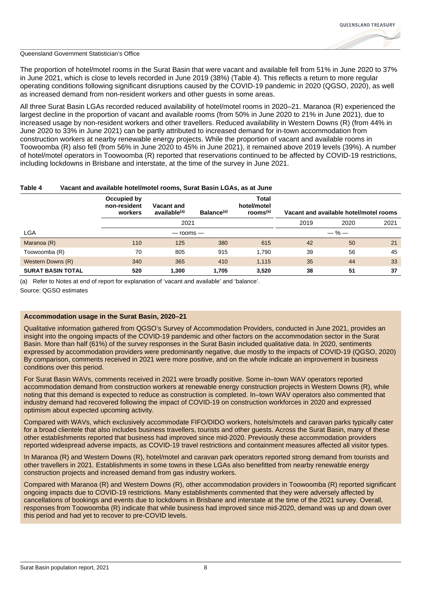

The proportion of hotel/motel rooms in the Surat Basin that were vacant and available fell from 51% in June 2020 to 37% in June 2021, which is close to levels recorded in June 2019 (38%) (Table 4). This reflects a return to more regular operating conditions following significant disruptions caused by the COVID-19 pandemic in 2020 (QGSO, 2020), as well as increased demand from non-resident workers and other guests in some areas.

All three Surat Basin LGAs recorded reduced availability of hotel/motel rooms in 2020–21. Maranoa (R) experienced the largest decline in the proportion of vacant and available rooms (from 50% in June 2020 to 21% in June 2021), due to increased usage by non-resident workers and other travellers. Reduced availability in Western Downs (R) (from 44% in June 2020 to 33% in June 2021) can be partly attributed to increased demand for in-town accommodation from construction workers at nearby renewable energy projects. While the proportion of vacant and available rooms in Toowoomba (R) also fell (from 56% in June 2020 to 45% in June 2021), it remained above 2019 levels (39%). A number of hotel/motel operators in Toowoomba (R) reported that reservations continued to be affected by COVID-19 restrictions, including lockdowns in Brisbane and interstate, at the time of the survey in June 2021.

#### **Table 4 Vacant and available hotel/motel rooms, Surat Basin LGAs, as at June**

|                          | Occupied by<br>non-resident<br>workers | <b>Vacant and</b><br>available <sup>(a)</sup> | Balance <sup>(a)</sup> | <b>Total</b><br>hotel/motel<br>rooms <sup>(a)</sup> |           | Vacant and available hotel/motel rooms |      |
|--------------------------|----------------------------------------|-----------------------------------------------|------------------------|-----------------------------------------------------|-----------|----------------------------------------|------|
|                          |                                        | 2021                                          |                        |                                                     | 2019      | 2020                                   | 2021 |
| <b>LGA</b>               |                                        | $-$ rooms $-$                                 |                        |                                                     | $-$ % $-$ |                                        |      |
| Maranoa (R)              | 110                                    | 125                                           | 380                    | 615                                                 | 42        | 50                                     | 21   |
| Toowoomba (R)            | 70                                     | 805                                           | 915                    | 1.790                                               | 39        | 56                                     | 45   |
| Western Downs (R)        | 340                                    | 365                                           | 410                    | 1,115                                               | 35        | 44                                     | 33   |
| <b>SURAT BASIN TOTAL</b> | 520                                    | 1,300                                         | 1.705                  | 3,520                                               | 38        | 51                                     | 37   |

(a) Refer to Notes at end of report for explanation of 'vacant and available' and 'balance'.

Source: QGSO estimates

#### **Accommodation usage in the Surat Basin, 2020–21**

Qualitative information gathered from QGSO's Survey of Accommodation Providers, conducted in June 2021, provides an insight into the ongoing impacts of the COVID-19 pandemic and other factors on the accommodation sector in the Surat Basin. More than half (61%) of the survey responses in the Surat Basin included qualitative data. In 2020, sentiments expressed by accommodation providers were predominantly negative, due mostly to the impacts of COVID-19 (QGSO, 2020) By comparison, comments received in 2021 were more positive, and on the whole indicate an improvement in business conditions over this period.

For Surat Basin WAVs, comments received in 2021 were broadly positive. Some in–town WAV operators reported accommodation demand from construction workers at renewable energy construction projects in Western Downs (R), while noting that this demand is expected to reduce as construction is completed. In–town WAV operators also commented that industry demand had recovered following the impact of COVID-19 on construction workforces in 2020 and expressed optimism about expected upcoming activity.

Compared with WAVs, which exclusively accommodate FIFO/DIDO workers, hotels/motels and caravan parks typically cater for a broad clientele that also includes business travellers, tourists and other guests. Across the Surat Basin, many of these other establishments reported that business had improved since mid-2020. Previously these accommodation providers reported widespread adverse impacts, as COVID-19 travel restrictions and containment measures affected all visitor types.

In Maranoa (R) and Western Downs (R), hotel/motel and caravan park operators reported strong demand from tourists and other travellers in 2021. Establishments in some towns in these LGAs also benefitted from nearby renewable energy construction projects and increased demand from gas industry workers.

Compared with Maranoa (R) and Western Downs (R), other accommodation providers in Toowoomba (R) reported significant ongoing impacts due to COVID-19 restrictions. Many establishments commented that they were adversely affected by cancellations of bookings and events due to lockdowns in Brisbane and interstate at the time of the 2021 survey. Overall, responses from Toowoomba (R) indicate that while business had improved since mid-2020, demand was up and down over this period and had yet to recover to pre-COVID levels.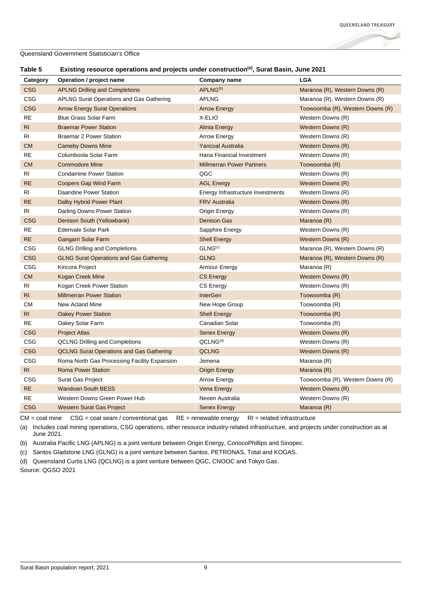

#### **Table 5 Existing resource operations and projects under construction(a), Surat Basin, June 2021**

| Category       | Operation / project name                        | Company name                      | <b>LGA</b>                       |
|----------------|-------------------------------------------------|-----------------------------------|----------------------------------|
| <b>CSG</b>     | <b>APLNG Drilling and Completions</b>           | APLNG <sup>(b)</sup>              | Maranoa (R), Western Downs (R)   |
| CSG            | APLNG Surat Operations and Gas Gathering        | <b>APLNG</b>                      | Maranoa (R), Western Downs (R)   |
| <b>CSG</b>     | <b>Arrow Energy Surat Operations</b>            | <b>Arrow Energy</b>               | Toowoomba (R), Western Downs (R) |
| <b>RE</b>      | <b>Blue Grass Solar Farm</b>                    | X-ELIO                            | Western Downs (R)                |
| RI.            | <b>Braemar Power Station</b>                    | <b>Alinta Energy</b>              | Western Downs (R)                |
| RI             | <b>Braemar 2 Power Station</b>                  | <b>Arrow Energy</b>               | Western Downs (R)                |
| <b>CM</b>      | <b>Cameby Downs Mine</b>                        | <b>Yancoal Australia</b>          | Western Downs (R)                |
| RE             | Columboola Solar Farm                           | Hana Financial Investment         | Western Downs (R)                |
| <b>CM</b>      | <b>Commodore Mine</b>                           | <b>Millmerran Power Partners</b>  | Toowoomba (R)                    |
| RI.            | <b>Condamine Power Station</b>                  | QGC                               | Western Downs (R)                |
| <b>RE</b>      | Coopers Gap Wind Farm                           | <b>AGL Energy</b>                 | Western Downs (R)                |
| RI             | Daandine Power Station                          | Energy Infrastructure Investments | Western Downs (R)                |
| <b>RE</b>      | Dalby Hybrid Power Plant                        | <b>FRV Australia</b>              | Western Downs (R)                |
| RI             | Darling Downs Power Station                     | Origin Energy                     | Western Downs (R)                |
| <b>CSG</b>     | Denison South (Yellowbank)                      | Denison Gas                       | Maranoa (R)                      |
| RE             | Edenvale Solar Park                             | Sapphire Energy                   | Western Downs (R)                |
| RE             | Gangarri Solar Farm                             | <b>Shell Energy</b>               | Western Downs (R)                |
| CSG            | <b>GLNG Drilling and Completions</b>            | GLNG <sup>(c)</sup>               | Maranoa (R), Western Downs (R)   |
| CSG            | <b>GLNG Surat Operations and Gas Gathering</b>  | <b>GLNG</b>                       | Maranoa (R), Western Downs (R)   |
| <b>CSG</b>     | Kincora Project                                 | Armour Energy                     | Maranoa (R)                      |
| <b>CM</b>      | <b>Kogan Creek Mine</b>                         | <b>CS Energy</b>                  | Western Downs (R)                |
| RI.            | Kogan Creek Power Station                       | <b>CS Energy</b>                  | Western Downs (R)                |
| RI.            | <b>Millmerran Power Station</b>                 | <b>InterGen</b>                   | Toowoomba (R)                    |
| CМ             | New Acland Mine                                 | New Hope Group                    | Toowoomba (R)                    |
| R <sub>l</sub> | <b>Oakey Power Station</b>                      | <b>Shell Energy</b>               | Toowoomba (R)                    |
| <b>RE</b>      | Oakey Solar Farm                                | Canadian Solar                    | Toowoomba (R)                    |
| <b>CSG</b>     | <b>Project Atlas</b>                            | Senex Energy                      | Western Downs (R)                |
| <b>CSG</b>     | <b>QCLNG Drilling and Completions</b>           | QCLNG <sup>(d)</sup>              | Western Downs (R)                |
| <b>CSG</b>     | <b>QCLNG Surat Operations and Gas Gathering</b> | <b>QCLNG</b>                      | Western Downs (R)                |
| CSG            | Roma North Gas Processing Facility Expansion    | Jemena                            | Maranoa (R)                      |
| RI             | <b>Roma Power Station</b>                       | Origin Energy                     | Maranoa (R)                      |
| CSG            | Surat Gas Project                               | <b>Arrow Energy</b>               | Toowoomba (R), Western Downs (R) |
| RE             | <b>Wandoan South BESS</b>                       | Vena Energy                       | Western Downs (R)                |
| <b>RE</b>      | Western Downs Green Power Hub                   | Neoen Australia                   | Western Downs (R)                |
| <b>CSG</b>     | <b>Western Surat Gas Project</b>                | <b>Senex Energy</b>               | Maranoa (R)                      |

CM = coal mine CSG = coal seam / conventional gas RE = renewable energy RI = related infrastructure

(a) Includes coal mining operations, CSG operations, other resource industry-related infrastructure, and projects under construction as at June 2021.

(b) Australia Pacific LNG (APLNG) is a joint venture between Origin Energy, ConocoPhillips and Sinopec.

(c) Santos Gladstone LNG (GLNG) is a joint venture between Santos, PETRONAS, Total and KOGAS.

(d) Queensland Curtis LNG (QCLNG) is a joint venture between QGC, CNOOC and Tokyo Gas.

Source: QGSO 2021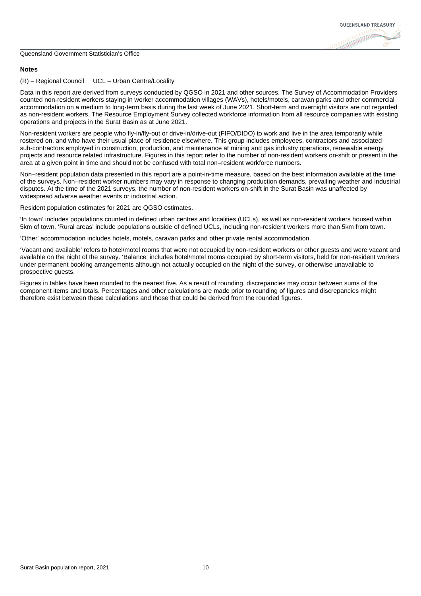# **OUFFNSI AND TREASURY**

#### Queensland Government Statistician's Office

#### **Notes**

#### (R) – Regional Council UCL – Urban Centre/Locality

Data in this report are derived from surveys conducted by QGSO in 2021 and other sources. The Survey of Accommodation Providers counted non-resident workers staying in worker accommodation villages (WAVs), hotels/motels, caravan parks and other commercial accommodation on a medium to long-term basis during the last week of June 2021. Short-term and overnight visitors are not regarded as non-resident workers. The Resource Employment Survey collected workforce information from all resource companies with existing operations and projects in the Surat Basin as at June 2021.

Non-resident workers are people who fly-in/fly-out or drive-in/drive-out (FIFO/DIDO) to work and live in the area temporarily while rostered on, and who have their usual place of residence elsewhere. This group includes employees, contractors and associated sub-contractors employed in construction, production, and maintenance at mining and gas industry operations, renewable energy projects and resource related infrastructure. Figures in this report refer to the number of non-resident workers on-shift or present in the area at a given point in time and should not be confused with total non–resident workforce numbers.

Non–resident population data presented in this report are a point-in-time measure, based on the best information available at the time of the surveys. Non–resident worker numbers may vary in response to changing production demands, prevailing weather and industrial disputes. At the time of the 2021 surveys, the number of non-resident workers on-shift in the Surat Basin was unaffected by widespread adverse weather events or industrial action.

Resident population estimates for 2021 are QGSO estimates.

'In town' includes populations counted in defined urban centres and localities (UCLs), as well as non-resident workers housed within 5km of town. 'Rural areas' include populations outside of defined UCLs, including non-resident workers more than 5km from town.

'Other' accommodation includes hotels, motels, caravan parks and other private rental accommodation.

'Vacant and available' refers to hotel/motel rooms that were not occupied by non-resident workers or other guests and were vacant and available on the night of the survey. 'Balance' includes hotel/motel rooms occupied by short-term visitors, held for non-resident workers under permanent booking arrangements although not actually occupied on the night of the survey, or otherwise unavailable to prospective guests.

Figures in tables have been rounded to the nearest five. As a result of rounding, discrepancies may occur between sums of the component items and totals. Percentages and other calculations are made prior to rounding of figures and discrepancies might therefore exist between these calculations and those that could be derived from the rounded figures.